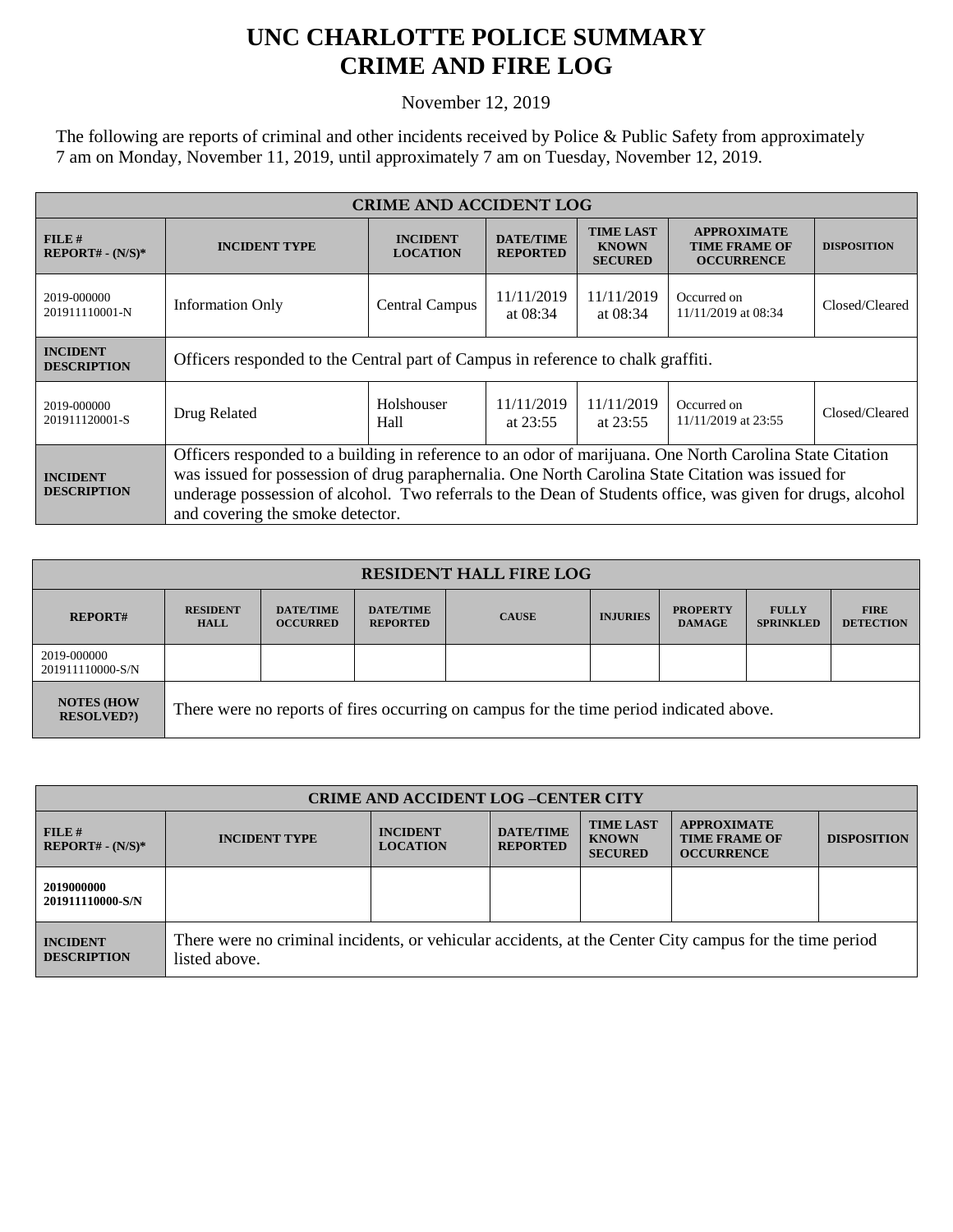## **UNC CHARLOTTE POLICE SUMMARY CRIME AND FIRE LOG**

November 12, 2019

The following are reports of criminal and other incidents received by Police & Public Safety from approximately 7 am on Monday, November 11, 2019, until approximately 7 am on Tuesday, November 12, 2019.

| <b>CRIME AND ACCIDENT LOG</b>         |                                                                                                                                                                                                                                                                                                                                                                 |                                    |                                                      |                                                    |                                                                 |                    |  |
|---------------------------------------|-----------------------------------------------------------------------------------------------------------------------------------------------------------------------------------------------------------------------------------------------------------------------------------------------------------------------------------------------------------------|------------------------------------|------------------------------------------------------|----------------------------------------------------|-----------------------------------------------------------------|--------------------|--|
| FILE#<br>$REPORT# - (N/S)*$           | <b>INCIDENT TYPE</b>                                                                                                                                                                                                                                                                                                                                            | <b>INCIDENT</b><br><b>LOCATION</b> | <b>DATE/TIME</b><br><b>REPORTED</b>                  | <b>TIME LAST</b><br><b>KNOWN</b><br><b>SECURED</b> | <b>APPROXIMATE</b><br><b>TIME FRAME OF</b><br><b>OCCURRENCE</b> | <b>DISPOSITION</b> |  |
| 2019-000000<br>201911110001-N         | <b>Information Only</b>                                                                                                                                                                                                                                                                                                                                         | <b>Central Campus</b>              | 11/11/2019<br>at $08:34$                             | 11/11/2019<br>at $08:34$                           | Occurred on<br>11/11/2019 at 08:34                              | Closed/Cleared     |  |
| <b>INCIDENT</b><br><b>DESCRIPTION</b> | Officers responded to the Central part of Campus in reference to chalk graffiti.                                                                                                                                                                                                                                                                                |                                    |                                                      |                                                    |                                                                 |                    |  |
| 2019-000000<br>201911120001-S         | Drug Related                                                                                                                                                                                                                                                                                                                                                    | Holshouser<br>Hall                 | 11/11/2019<br>11/11/2019<br>at $23:55$<br>at $23:55$ |                                                    | Occurred on<br>11/11/2019 at 23:55                              | Closed/Cleared     |  |
| <b>INCIDENT</b><br><b>DESCRIPTION</b> | Officers responded to a building in reference to an odor of marijuana. One North Carolina State Citation<br>was issued for possession of drug paraphernalia. One North Carolina State Citation was issued for<br>underage possession of alcohol. Two referrals to the Dean of Students office, was given for drugs, alcohol<br>and covering the smoke detector. |                                    |                                                      |                                                    |                                                                 |                    |  |

| <b>RESIDENT HALL FIRE LOG</b>          |                                                                                         |                                     |                                     |              |                 |                                  |                                  |                                 |
|----------------------------------------|-----------------------------------------------------------------------------------------|-------------------------------------|-------------------------------------|--------------|-----------------|----------------------------------|----------------------------------|---------------------------------|
| <b>REPORT#</b>                         | <b>RESIDENT</b><br><b>HALL</b>                                                          | <b>DATE/TIME</b><br><b>OCCURRED</b> | <b>DATE/TIME</b><br><b>REPORTED</b> | <b>CAUSE</b> | <b>INJURIES</b> | <b>PROPERTY</b><br><b>DAMAGE</b> | <b>FULLY</b><br><b>SPRINKLED</b> | <b>FIRE</b><br><b>DETECTION</b> |
| 2019-000000<br>201911110000-S/N        |                                                                                         |                                     |                                     |              |                 |                                  |                                  |                                 |
| <b>NOTES (HOW)</b><br><b>RESOLVED?</b> | There were no reports of fires occurring on campus for the time period indicated above. |                                     |                                     |              |                 |                                  |                                  |                                 |

| <b>CRIME AND ACCIDENT LOG-CENTER CITY</b> |                                                                                                                          |                                    |                                     |                                                    |                                                                 |                    |
|-------------------------------------------|--------------------------------------------------------------------------------------------------------------------------|------------------------------------|-------------------------------------|----------------------------------------------------|-----------------------------------------------------------------|--------------------|
| $FILE$ #<br>$REPORT# - (N/S)*$            | <b>INCIDENT TYPE</b>                                                                                                     | <b>INCIDENT</b><br><b>LOCATION</b> | <b>DATE/TIME</b><br><b>REPORTED</b> | <b>TIME LAST</b><br><b>KNOWN</b><br><b>SECURED</b> | <b>APPROXIMATE</b><br><b>TIME FRAME OF</b><br><b>OCCURRENCE</b> | <b>DISPOSITION</b> |
| 2019000000<br>201911110000-S/N            |                                                                                                                          |                                    |                                     |                                                    |                                                                 |                    |
| <b>INCIDENT</b><br><b>DESCRIPTION</b>     | There were no criminal incidents, or vehicular accidents, at the Center City campus for the time period<br>listed above. |                                    |                                     |                                                    |                                                                 |                    |